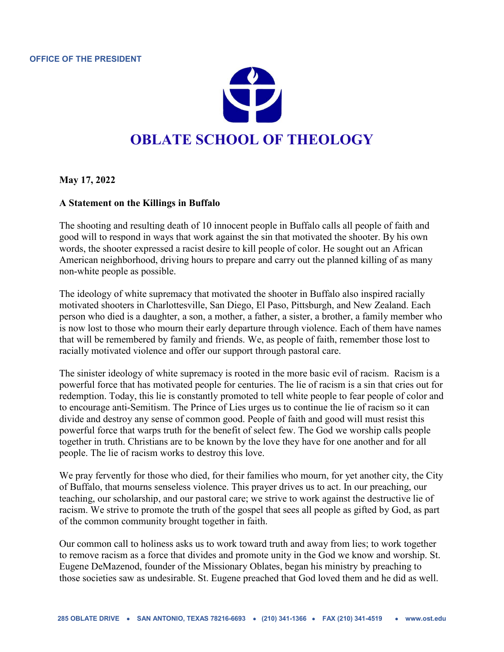

**May 17, 2022**

## **A Statement on the Killings in Buffalo**

The shooting and resulting death of 10 innocent people in Buffalo calls all people of faith and good will to respond in ways that work against the sin that motivated the shooter. By his own words, the shooter expressed a racist desire to kill people of color. He sought out an African American neighborhood, driving hours to prepare and carry out the planned killing of as many non-white people as possible.

The ideology of white supremacy that motivated the shooter in Buffalo also inspired racially motivated shooters in Charlottesville, San Diego, El Paso, Pittsburgh, and New Zealand. Each person who died is a daughter, a son, a mother, a father, a sister, a brother, a family member who is now lost to those who mourn their early departure through violence. Each of them have names that will be remembered by family and friends. We, as people of faith, remember those lost to racially motivated violence and offer our support through pastoral care.

The sinister ideology of white supremacy is rooted in the more basic evil of racism. Racism is a powerful force that has motivated people for centuries. The lie of racism is a sin that cries out for redemption. Today, this lie is constantly promoted to tell white people to fear people of color and to encourage anti-Semitism. The Prince of Lies urges us to continue the lie of racism so it can divide and destroy any sense of common good. People of faith and good will must resist this powerful force that warps truth for the benefit of select few. The God we worship calls people together in truth. Christians are to be known by the love they have for one another and for all people. The lie of racism works to destroy this love.

We pray fervently for those who died, for their families who mourn, for yet another city, the City of Buffalo, that mourns senseless violence. This prayer drives us to act. In our preaching, our teaching, our scholarship, and our pastoral care; we strive to work against the destructive lie of racism. We strive to promote the truth of the gospel that sees all people as gifted by God, as part of the common community brought together in faith.

Our common call to holiness asks us to work toward truth and away from lies; to work together to remove racism as a force that divides and promote unity in the God we know and worship. St. Eugene DeMazenod, founder of the Missionary Oblates, began his ministry by preaching to those societies saw as undesirable. St. Eugene preached that God loved them and he did as well.